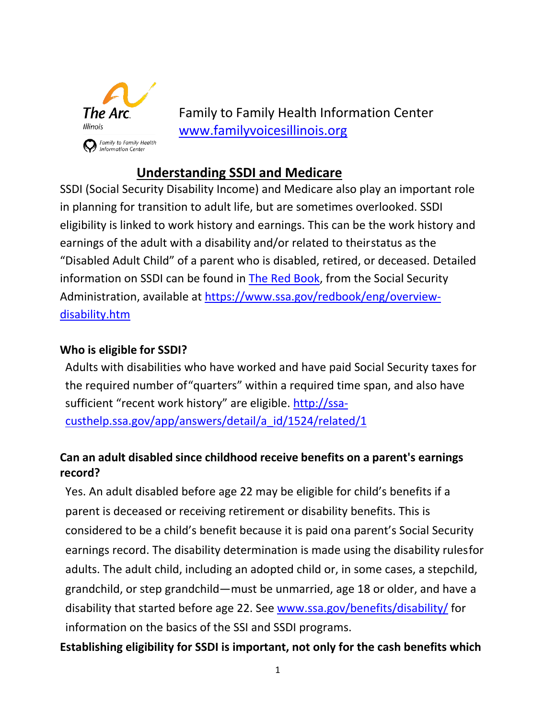

Family to Family Health Information Center [www.familyvoicesillinois.org](http://www.familyvoicesillinois.org/)

## **Understanding SSDI and Medicare**

SSDI (Social Security Disability Income) and Medicare also play an important role in planning for transition to adult life, but are sometimes overlooked. SSDI eligibility is linked to work history and earnings. This can be the work history and earnings of the adult with a disability and/or related to theirstatus as the "Disabled Adult Child" of a parent who is disabled, retired, or deceased. Detailed information on SSDI can be found in **The Red Book**, from the Social Security Administration, available at [https://www.ssa.gov/redbook/eng/overview](https://www.ssa.gov/redbook/eng/overview-disability.htm)[disability.htm](https://www.ssa.gov/redbook/eng/overview-disability.htm)

## **Who is eligible for SSDI?**

Adults with disabilities who have worked and have paid Social Security taxes for the required number of"quarters" within a required time span, and also have sufficient "recent work history" are eligible. [http://ssa](http://ssa-custhelp.ssa.gov/app/answers/detail/a_id/1524/related/1)[custhelp.ssa.gov/app/answers/detail/a\\_id/1524/related/1](http://ssa-custhelp.ssa.gov/app/answers/detail/a_id/1524/related/1)

## **Can an adult disabled since childhood receive benefits on a parent's earnings record?**

Yes. An adult disabled before age 22 may be eligible for child's benefits if a parent is deceased or receiving retirement or disability benefits. This is considered to be a child's benefit because it is paid ona parent's Social Security earnings record. The disability determination is made using the disability rules for adults. The adult child, including an adopted child or, in some cases, a stepchild, grandchild, or step grandchild—must be unmarried, age 18 or older, and have a disability that started before age 22. See [www.ssa.gov/benefits/disability/](http://www.ssa.gov/benefits/disability/) for information on the basics of the SSI and SSDI programs.

**Establishing eligibility for SSDI is important, not only for the cash benefits which**